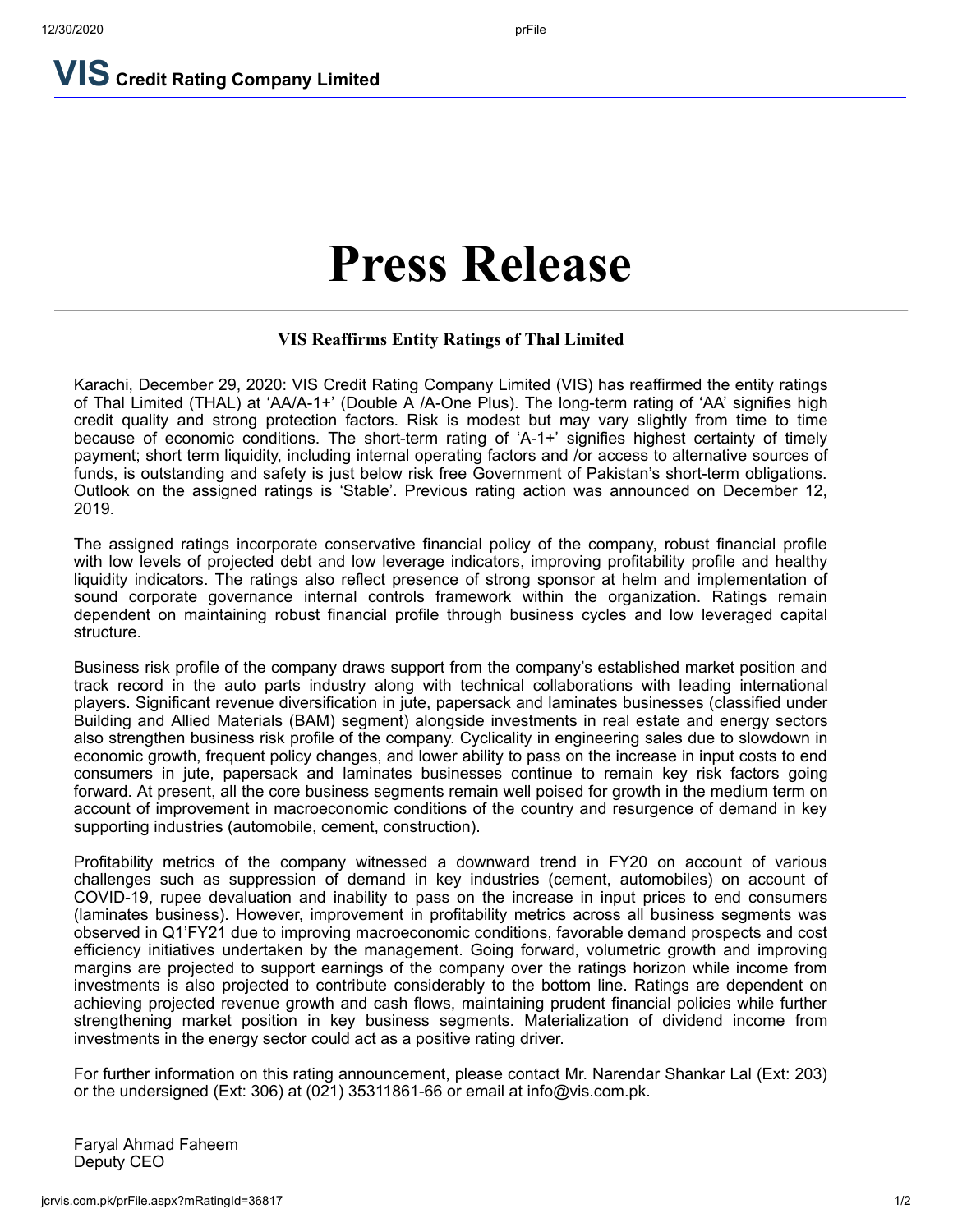**VIS Credit Rating Company Limited**

# **Press Release**

### **VIS Reaffirms Entity Ratings of Thal Limited**

Karachi, December 29, 2020: VIS Credit Rating Company Limited (VIS) has reaffirmed the entity ratings of Thal Limited (THAL) at 'AA/A-1+' (Double A /A-One Plus). The long-term rating of 'AA' signifies high credit quality and strong protection factors. Risk is modest but may vary slightly from time to time because of economic conditions. The short-term rating of 'A-1+' signifies highest certainty of timely payment; short term liquidity, including internal operating factors and /or access to alternative sources of funds, is outstanding and safety is just below risk free Government of Pakistan's short-term obligations. Outlook on the assigned ratings is 'Stable'. Previous rating action was announced on December 12, 2019.

The assigned ratings incorporate conservative financial policy of the company, robust financial profile with low levels of projected debt and low leverage indicators, improving profitability profile and healthy liquidity indicators. The ratings also reflect presence of strong sponsor at helm and implementation of sound corporate governance internal controls framework within the organization. Ratings remain dependent on maintaining robust financial profile through business cycles and low leveraged capital structure.

Business risk profile of the company draws support from the company's established market position and track record in the auto parts industry along with technical collaborations with leading international players. Significant revenue diversification in jute, papersack and laminates businesses (classified under Building and Allied Materials (BAM) segment) alongside investments in real estate and energy sectors also strengthen business risk profile of the company. Cyclicality in engineering sales due to slowdown in economic growth, frequent policy changes, and lower ability to pass on the increase in input costs to end consumers in jute, papersack and laminates businesses continue to remain key risk factors going forward. At present, all the core business segments remain well poised for growth in the medium term on account of improvement in macroeconomic conditions of the country and resurgence of demand in key supporting industries (automobile, cement, construction).

Profitability metrics of the company witnessed a downward trend in FY20 on account of various challenges such as suppression of demand in key industries (cement, automobiles) on account of COVID-19, rupee devaluation and inability to pass on the increase in input prices to end consumers (laminates business). However, improvement in profitability metrics across all business segments was observed in Q1'FY21 due to improving macroeconomic conditions, favorable demand prospects and cost efficiency initiatives undertaken by the management. Going forward, volumetric growth and improving margins are projected to support earnings of the company over the ratings horizon while income from investments is also projected to contribute considerably to the bottom line. Ratings are dependent on achieving projected revenue growth and cash flows, maintaining prudent financial policies while further strengthening market position in key business segments. Materialization of dividend income from investments in the energy sector could act as a positive rating driver.

For further information on this rating announcement, please contact Mr. Narendar Shankar Lal (Ext: 203) or the undersigned (Ext: 306) at (021) 35311861-66 or email at info@vis.com.pk.

Faryal Ahmad Faheem Deputy CEO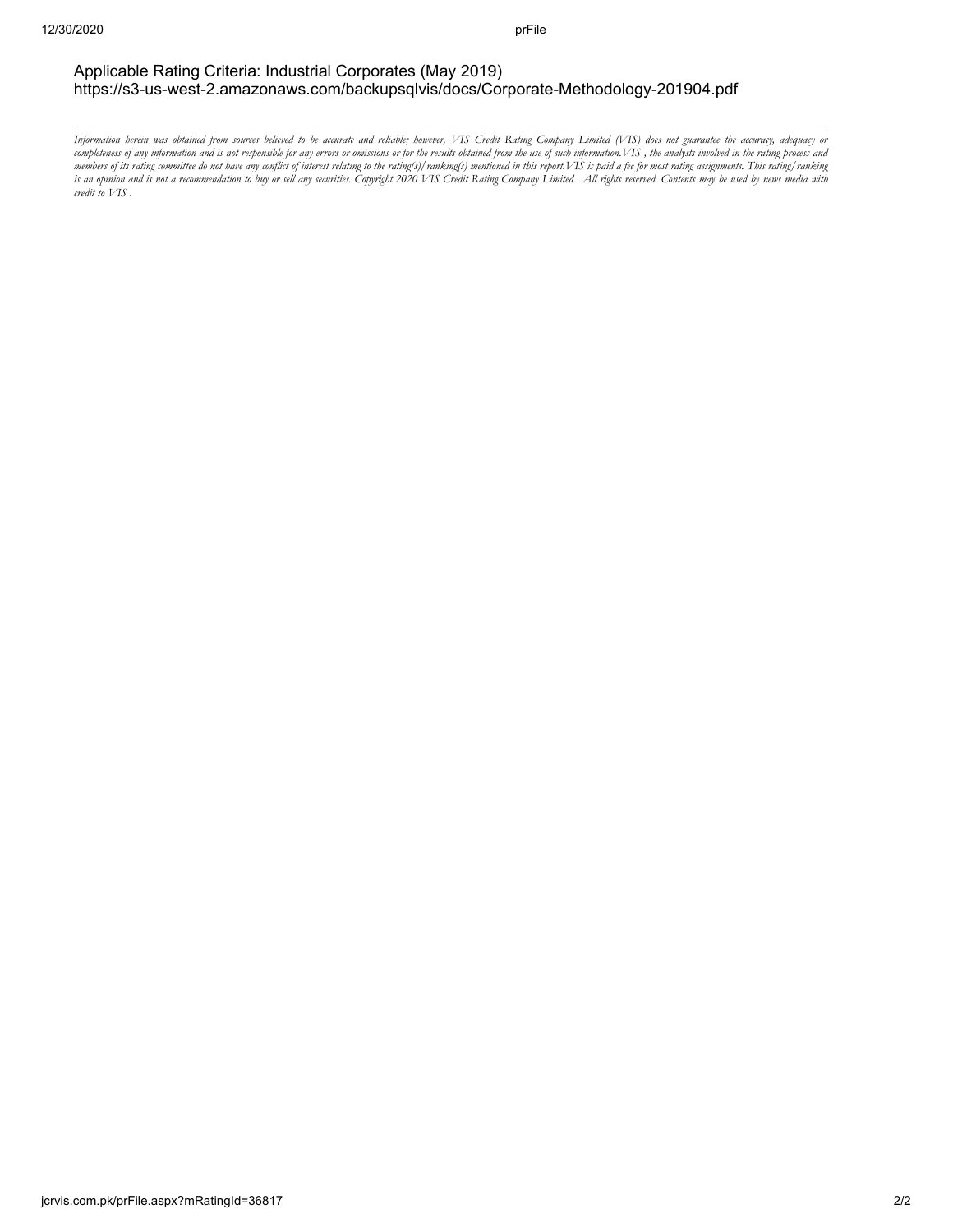#### Applicable Rating Criteria: Industrial Corporates (May 2019) https://s3-us-west-2.amazonaws.com/backupsqlvis/docs/Corporate-Methodology-201904.pdf

Information herein was obtained from sources believed to be accurate and reliable; however, VIS Credit Rating Company Limited (VIS) does not guarantee the accuracy, adequacy or completeness of any information and is not responsible for any errors or omissions or for the results obtained from the use of such information.VIS , the analysts involved in the rating process and members of its rating committee do not have any conflict of interest relating to the rating(s) /ranking(s) mentioned in this report.VIS is paid a fee for most rating assignments. This rating/ranking is an opinion and is not a recommendation to buy or sell any securities. Copyright 2020 VIS Credit Rating Company Limited . All rights reserved. Contents may be used by news media with *credit to VIS .*

*\_\_\_\_\_\_\_\_\_\_\_\_\_\_\_\_\_\_\_\_\_\_\_\_\_\_\_\_\_\_\_\_\_\_\_\_\_\_\_\_\_\_\_\_\_\_\_\_\_\_\_\_\_\_\_\_\_\_\_\_\_\_\_\_\_\_\_\_\_\_\_\_\_\_\_\_\_\_\_\_\_\_\_\_\_\_\_\_\_\_\_\_\_\_\_\_\_\_\_\_\_\_\_\_\_\_\_\_\_\_\_\_\_\_\_\_\_\_\_\_\_\_\_\_\_\_\_\_*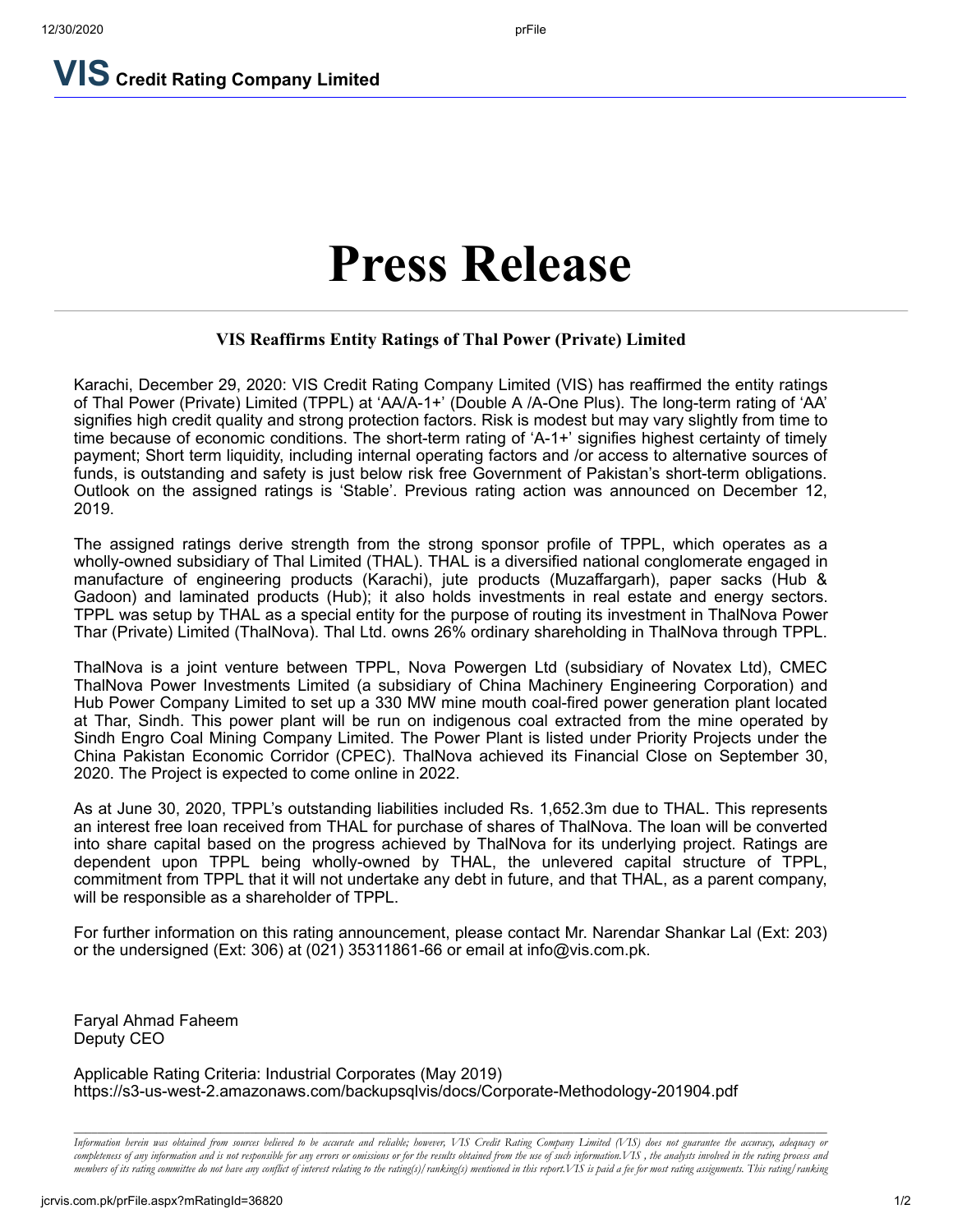**VIS Credit Rating Company Limited**

# **Press Release**

## **VIS Reaffirms Entity Ratings of Thal Power (Private) Limited**

Karachi, December 29, 2020: VIS Credit Rating Company Limited (VIS) has reaffirmed the entity ratings of Thal Power (Private) Limited (TPPL) at 'AA/A-1+' (Double A /A-One Plus). The long-term rating of 'AA' signifies high credit quality and strong protection factors. Risk is modest but may vary slightly from time to time because of economic conditions. The short-term rating of 'A-1+' signifies highest certainty of timely payment; Short term liquidity, including internal operating factors and /or access to alternative sources of funds, is outstanding and safety is just below risk free Government of Pakistan's short-term obligations. Outlook on the assigned ratings is 'Stable'. Previous rating action was announced on December 12, 2019.

The assigned ratings derive strength from the strong sponsor profile of TPPL, which operates as a wholly-owned subsidiary of Thal Limited (THAL). THAL is a diversified national conglomerate engaged in manufacture of engineering products (Karachi), jute products (Muzaffargarh), paper sacks (Hub & Gadoon) and laminated products (Hub); it also holds investments in real estate and energy sectors. TPPL was setup by THAL as a special entity for the purpose of routing its investment in ThalNova Power Thar (Private) Limited (ThalNova). Thal Ltd. owns 26% ordinary shareholding in ThalNova through TPPL.

ThalNova is a joint venture between TPPL, Nova Powergen Ltd (subsidiary of Novatex Ltd), CMEC ThalNova Power Investments Limited (a subsidiary of China Machinery Engineering Corporation) and Hub Power Company Limited to set up a 330 MW mine mouth coal-fired power generation plant located at Thar, Sindh. This power plant will be run on indigenous coal extracted from the mine operated by Sindh Engro Coal Mining Company Limited. The Power Plant is listed under Priority Projects under the China Pakistan Economic Corridor (CPEC). ThalNova achieved its Financial Close on September 30, 2020. The Project is expected to come online in 2022.

As at June 30, 2020, TPPL's outstanding liabilities included Rs. 1,652.3m due to THAL. This represents an interest free loan received from THAL for purchase of shares of ThalNova. The loan will be converted into share capital based on the progress achieved by ThalNova for its underlying project. Ratings are dependent upon TPPL being wholly-owned by THAL, the unlevered capital structure of TPPL, commitment from TPPL that it will not undertake any debt in future, and that THAL, as a parent company, will be responsible as a shareholder of TPPL.

For further information on this rating announcement, please contact Mr. Narendar Shankar Lal (Ext: 203) or the undersigned (Ext: 306) at (021) 35311861-66 or email at info@vis.com.pk.

Faryal Ahmad Faheem Deputy CEO

Applicable Rating Criteria: Industrial Corporates (May 2019) https://s3-us-west-2.amazonaws.com/backupsqlvis/docs/Corporate-Methodology-201904.pdf

*\_\_\_\_\_\_\_\_\_\_\_\_\_\_\_\_\_\_\_\_\_\_\_\_\_\_\_\_\_\_\_\_\_\_\_\_\_\_\_\_\_\_\_\_\_\_\_\_\_\_\_\_\_\_\_\_\_\_\_\_\_\_\_\_\_\_\_\_\_\_\_\_\_\_\_\_\_\_\_\_\_\_\_\_\_\_\_\_\_\_\_\_\_\_\_\_\_\_\_\_\_\_\_\_\_\_\_\_\_\_\_\_\_\_\_\_\_\_\_\_\_\_\_\_\_\_\_\_* Information herein was obtained from sources believed to be accurate and reliable; however, VIS Credit Rating Company Limited (VIS) does not guarantee the accuracy, adequacy or completeness of any information and is not responsible for any errors or omissions or for the results obtained from the use of such information. VIS, the analysts involved in the rating process and members of its rating committee do not have any conflict of interest relating to the rating(s)/ranking(s) mentioned in this report. VIS is paid a fee for most rating assignments. This rating/ranking